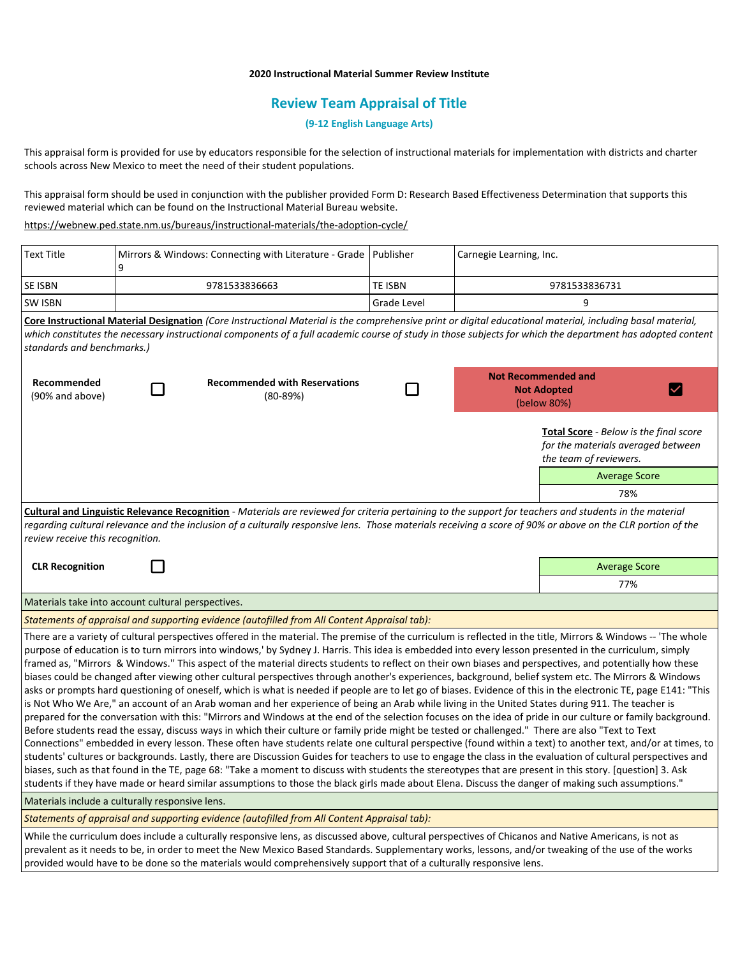## **2020 Instructional Material Summer Review Institute**

# **Review Team Appraisal of Title**

### **(9-12 English Language Arts)**

This appraisal form is provided for use by educators responsible for the selection of instructional materials for implementation with districts and charter schools across New Mexico to meet the need of their student populations.

This appraisal form should be used in conjunction with the publisher provided Form D: Research Based Effectiveness Determination that supports this reviewed material which can be found on the Instructional Material Bureau website.

### <https://webnew.ped.state.nm.us/bureaus/instructional-materials/the-adoption-cycle/>

| <b>Text Title</b>                                                                                                                                                                                                                                                                                                                                                                                                                                                                                                                                                                                                                                                                                                                                                                                                                                                                                                                                                                                                                                                                                                                                                                                                                                                                                                                                                                                                                                                                                                                                                                                                                                                                                                                                                                                                                                                                                                                         | q             | Mirrors & Windows: Connecting with Literature - Grade   Publisher |                    | Carnegie Learning, Inc.                                                         |                                                                                                               |  |
|-------------------------------------------------------------------------------------------------------------------------------------------------------------------------------------------------------------------------------------------------------------------------------------------------------------------------------------------------------------------------------------------------------------------------------------------------------------------------------------------------------------------------------------------------------------------------------------------------------------------------------------------------------------------------------------------------------------------------------------------------------------------------------------------------------------------------------------------------------------------------------------------------------------------------------------------------------------------------------------------------------------------------------------------------------------------------------------------------------------------------------------------------------------------------------------------------------------------------------------------------------------------------------------------------------------------------------------------------------------------------------------------------------------------------------------------------------------------------------------------------------------------------------------------------------------------------------------------------------------------------------------------------------------------------------------------------------------------------------------------------------------------------------------------------------------------------------------------------------------------------------------------------------------------------------------------|---------------|-------------------------------------------------------------------|--------------------|---------------------------------------------------------------------------------|---------------------------------------------------------------------------------------------------------------|--|
| SE ISBN                                                                                                                                                                                                                                                                                                                                                                                                                                                                                                                                                                                                                                                                                                                                                                                                                                                                                                                                                                                                                                                                                                                                                                                                                                                                                                                                                                                                                                                                                                                                                                                                                                                                                                                                                                                                                                                                                                                                   | 9781533836663 |                                                                   | TE ISBN            | 9781533836731                                                                   |                                                                                                               |  |
| <b>SW ISBN</b>                                                                                                                                                                                                                                                                                                                                                                                                                                                                                                                                                                                                                                                                                                                                                                                                                                                                                                                                                                                                                                                                                                                                                                                                                                                                                                                                                                                                                                                                                                                                                                                                                                                                                                                                                                                                                                                                                                                            |               |                                                                   | <b>Grade Level</b> |                                                                                 | 9                                                                                                             |  |
| Core Instructional Material Designation (Core Instructional Material is the comprehensive print or digital educational material, including basal material,<br>which constitutes the necessary instructional components of a full academic course of study in those subjects for which the department has adopted content<br>standards and benchmarks.)                                                                                                                                                                                                                                                                                                                                                                                                                                                                                                                                                                                                                                                                                                                                                                                                                                                                                                                                                                                                                                                                                                                                                                                                                                                                                                                                                                                                                                                                                                                                                                                    |               |                                                                   |                    |                                                                                 |                                                                                                               |  |
| Recommended<br>(90% and above)                                                                                                                                                                                                                                                                                                                                                                                                                                                                                                                                                                                                                                                                                                                                                                                                                                                                                                                                                                                                                                                                                                                                                                                                                                                                                                                                                                                                                                                                                                                                                                                                                                                                                                                                                                                                                                                                                                            |               | <b>Recommended with Reservations</b><br>$(80-89%)$                |                    | <b>Not Recommended and</b><br><b>Not Adopted</b><br>$\checkmark$<br>(below 80%) |                                                                                                               |  |
|                                                                                                                                                                                                                                                                                                                                                                                                                                                                                                                                                                                                                                                                                                                                                                                                                                                                                                                                                                                                                                                                                                                                                                                                                                                                                                                                                                                                                                                                                                                                                                                                                                                                                                                                                                                                                                                                                                                                           |               |                                                                   |                    |                                                                                 | <b>Total Score</b> - Below is the final score<br>for the materials averaged between<br>the team of reviewers. |  |
|                                                                                                                                                                                                                                                                                                                                                                                                                                                                                                                                                                                                                                                                                                                                                                                                                                                                                                                                                                                                                                                                                                                                                                                                                                                                                                                                                                                                                                                                                                                                                                                                                                                                                                                                                                                                                                                                                                                                           |               |                                                                   |                    |                                                                                 | <b>Average Score</b>                                                                                          |  |
|                                                                                                                                                                                                                                                                                                                                                                                                                                                                                                                                                                                                                                                                                                                                                                                                                                                                                                                                                                                                                                                                                                                                                                                                                                                                                                                                                                                                                                                                                                                                                                                                                                                                                                                                                                                                                                                                                                                                           |               |                                                                   |                    |                                                                                 | 78%                                                                                                           |  |
| Cultural and Linguistic Relevance Recognition - Materials are reviewed for criteria pertaining to the support for teachers and students in the material<br>regarding cultural relevance and the inclusion of a culturally responsive lens. Those materials receiving a score of 90% or above on the CLR portion of the<br>review receive this recognition.                                                                                                                                                                                                                                                                                                                                                                                                                                                                                                                                                                                                                                                                                                                                                                                                                                                                                                                                                                                                                                                                                                                                                                                                                                                                                                                                                                                                                                                                                                                                                                                |               |                                                                   |                    |                                                                                 |                                                                                                               |  |
| <b>CLR Recognition</b>                                                                                                                                                                                                                                                                                                                                                                                                                                                                                                                                                                                                                                                                                                                                                                                                                                                                                                                                                                                                                                                                                                                                                                                                                                                                                                                                                                                                                                                                                                                                                                                                                                                                                                                                                                                                                                                                                                                    |               |                                                                   |                    |                                                                                 | <b>Average Score</b>                                                                                          |  |
|                                                                                                                                                                                                                                                                                                                                                                                                                                                                                                                                                                                                                                                                                                                                                                                                                                                                                                                                                                                                                                                                                                                                                                                                                                                                                                                                                                                                                                                                                                                                                                                                                                                                                                                                                                                                                                                                                                                                           |               |                                                                   |                    |                                                                                 | 77%                                                                                                           |  |
| Materials take into account cultural perspectives.                                                                                                                                                                                                                                                                                                                                                                                                                                                                                                                                                                                                                                                                                                                                                                                                                                                                                                                                                                                                                                                                                                                                                                                                                                                                                                                                                                                                                                                                                                                                                                                                                                                                                                                                                                                                                                                                                        |               |                                                                   |                    |                                                                                 |                                                                                                               |  |
| Statements of appraisal and supporting evidence (autofilled from All Content Appraisal tab):                                                                                                                                                                                                                                                                                                                                                                                                                                                                                                                                                                                                                                                                                                                                                                                                                                                                                                                                                                                                                                                                                                                                                                                                                                                                                                                                                                                                                                                                                                                                                                                                                                                                                                                                                                                                                                              |               |                                                                   |                    |                                                                                 |                                                                                                               |  |
| There are a variety of cultural perspectives offered in the material. The premise of the curriculum is reflected in the title, Mirrors & Windows -- 'The whole<br>purpose of education is to turn mirrors into windows,' by Sydney J. Harris. This idea is embedded into every lesson presented in the curriculum, simply<br>framed as, "Mirrors & Windows." This aspect of the material directs students to reflect on their own biases and perspectives, and potentially how these<br>biases could be changed after viewing other cultural perspectives through another's experiences, background, belief system etc. The Mirrors & Windows<br>asks or prompts hard questioning of oneself, which is what is needed if people are to let go of biases. Evidence of this in the electronic TE, page E141: "This<br>is Not Who We Are," an account of an Arab woman and her experience of being an Arab while living in the United States during 911. The teacher is<br>prepared for the conversation with this: "Mirrors and Windows at the end of the selection focuses on the idea of pride in our culture or family background.<br>Before students read the essay, discuss ways in which their culture or family pride might be tested or challenged." There are also "Text to Text<br>Connections" embedded in every lesson. These often have students relate one cultural perspective (found within a text) to another text, and/or at times, to<br>students' cultures or backgrounds. Lastly, there are Discussion Guides for teachers to use to engage the class in the evaluation of cultural perspectives and<br>biases, such as that found in the TE, page 68: "Take a moment to discuss with students the stereotypes that are present in this story. [question] 3. Ask<br>students if they have made or heard similar assumptions to those the black girls made about Elena. Discuss the danger of making such assumptions." |               |                                                                   |                    |                                                                                 |                                                                                                               |  |
| Materials include a culturally responsive lens.                                                                                                                                                                                                                                                                                                                                                                                                                                                                                                                                                                                                                                                                                                                                                                                                                                                                                                                                                                                                                                                                                                                                                                                                                                                                                                                                                                                                                                                                                                                                                                                                                                                                                                                                                                                                                                                                                           |               |                                                                   |                    |                                                                                 |                                                                                                               |  |
| Statements of appraisal and supporting evidence (autofilled from All Content Appraisal tab):                                                                                                                                                                                                                                                                                                                                                                                                                                                                                                                                                                                                                                                                                                                                                                                                                                                                                                                                                                                                                                                                                                                                                                                                                                                                                                                                                                                                                                                                                                                                                                                                                                                                                                                                                                                                                                              |               |                                                                   |                    |                                                                                 |                                                                                                               |  |
| While the curriculum does include a culturally responsive lens, as discussed above, cultural perspectives of Chicanos and Native Americans, is not as<br>prevalent as it needs to be, in order to meet the New Mexico Based Standards. Supplementary works, lessons, and/or tweaking of the use of the works                                                                                                                                                                                                                                                                                                                                                                                                                                                                                                                                                                                                                                                                                                                                                                                                                                                                                                                                                                                                                                                                                                                                                                                                                                                                                                                                                                                                                                                                                                                                                                                                                              |               |                                                                   |                    |                                                                                 |                                                                                                               |  |

provided would have to be done so the materials would comprehensively support that of a culturally responsive lens.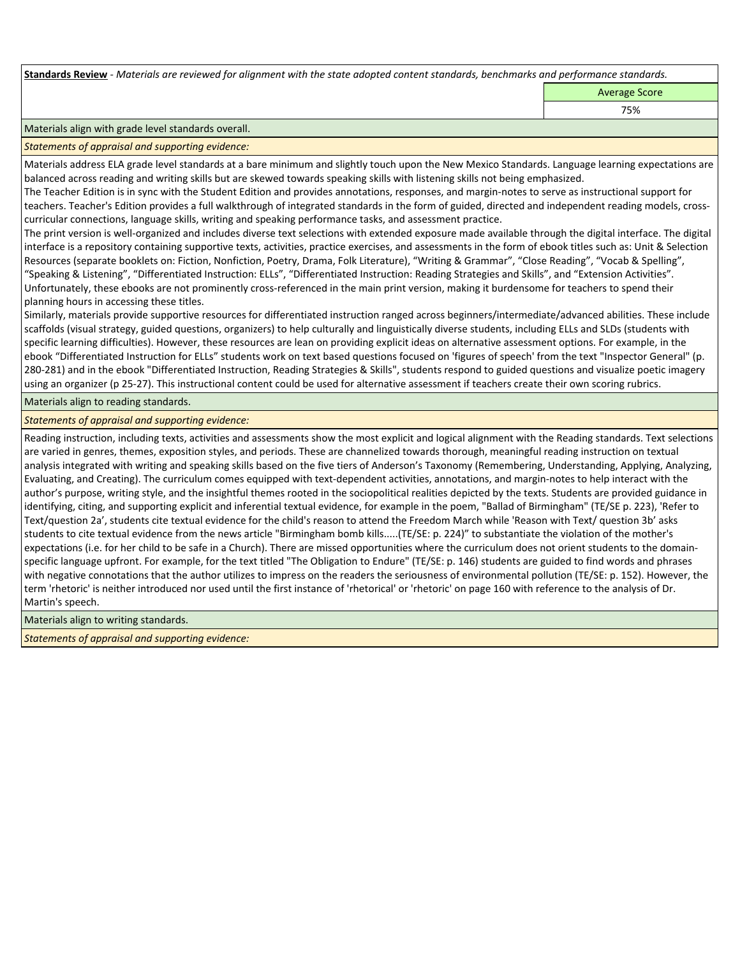**Standards Review** *- Materials are reviewed for alignment with the state adopted content standards, benchmarks and performance standards.*

Average Score

75%

Materials align with grade level standards overall.

*Statements of appraisal and supporting evidence:* 

Materials address ELA grade level standards at a bare minimum and slightly touch upon the New Mexico Standards. Language learning expectations are balanced across reading and writing skills but are skewed towards speaking skills with listening skills not being emphasized.

The Teacher Edition is in sync with the Student Edition and provides annotations, responses, and margin-notes to serve as instructional support for teachers. Teacher's Edition provides a full walkthrough of integrated standards in the form of guided, directed and independent reading models, crosscurricular connections, language skills, writing and speaking performance tasks, and assessment practice.

The print version is well-organized and includes diverse text selections with extended exposure made available through the digital interface. The digital interface is a repository containing supportive texts, activities, practice exercises, and assessments in the form of ebook titles such as: Unit & Selection Resources (separate booklets on: Fiction, Nonfiction, Poetry, Drama, Folk Literature), "Writing & Grammar", "Close Reading", "Vocab & Spelling", "Speaking & Listening", "Differentiated Instruction: ELLs", "Differentiated Instruction: Reading Strategies and Skills", and "Extension Activities". Unfortunately, these ebooks are not prominently cross-referenced in the main print version, making it burdensome for teachers to spend their planning hours in accessing these titles.

Similarly, materials provide supportive resources for differentiated instruction ranged across beginners/intermediate/advanced abilities. These include scaffolds (visual strategy, guided questions, organizers) to help culturally and linguistically diverse students, including ELLs and SLDs (students with specific learning difficulties). However, these resources are lean on providing explicit ideas on alternative assessment options. For example, in the ebook "Differentiated Instruction for ELLs" students work on text based questions focused on 'figures of speech' from the text "Inspector General" (p. 280-281) and in the ebook "Differentiated Instruction, Reading Strategies & Skills", students respond to guided questions and visualize poetic imagery using an organizer (p 25-27). This instructional content could be used for alternative assessment if teachers create their own scoring rubrics.

Materials align to reading standards.

*Statements of appraisal and supporting evidence:* 

Reading instruction, including texts, activities and assessments show the most explicit and logical alignment with the Reading standards. Text selections are varied in genres, themes, exposition styles, and periods. These are channelized towards thorough, meaningful reading instruction on textual analysis integrated with writing and speaking skills based on the five tiers of Anderson's Taxonomy (Remembering, Understanding, Applying, Analyzing, Evaluating, and Creating). The curriculum comes equipped with text-dependent activities, annotations, and margin-notes to help interact with the author's purpose, writing style, and the insightful themes rooted in the sociopolitical realities depicted by the texts. Students are provided guidance in identifying, citing, and supporting explicit and inferential textual evidence, for example in the poem, "Ballad of Birmingham" (TE/SE p. 223), 'Refer to Text/question 2a', students cite textual evidence for the child's reason to attend the Freedom March while 'Reason with Text/ question 3b' asks students to cite textual evidence from the news article "Birmingham bomb kills.....(TE/SE: p. 224)" to substantiate the violation of the mother's expectations (i.e. for her child to be safe in a Church). There are missed opportunities where the curriculum does not orient students to the domainspecific language upfront. For example, for the text titled "The Obligation to Endure" (TE/SE: p. 146) students are guided to find words and phrases with negative connotations that the author utilizes to impress on the readers the seriousness of environmental pollution (TE/SE: p. 152). However, the term 'rhetoric' is neither introduced nor used until the first instance of 'rhetorical' or 'rhetoric' on page 160 with reference to the analysis of Dr. Martin's speech.

Materials align to writing standards.

*Statements of appraisal and supporting evidence:*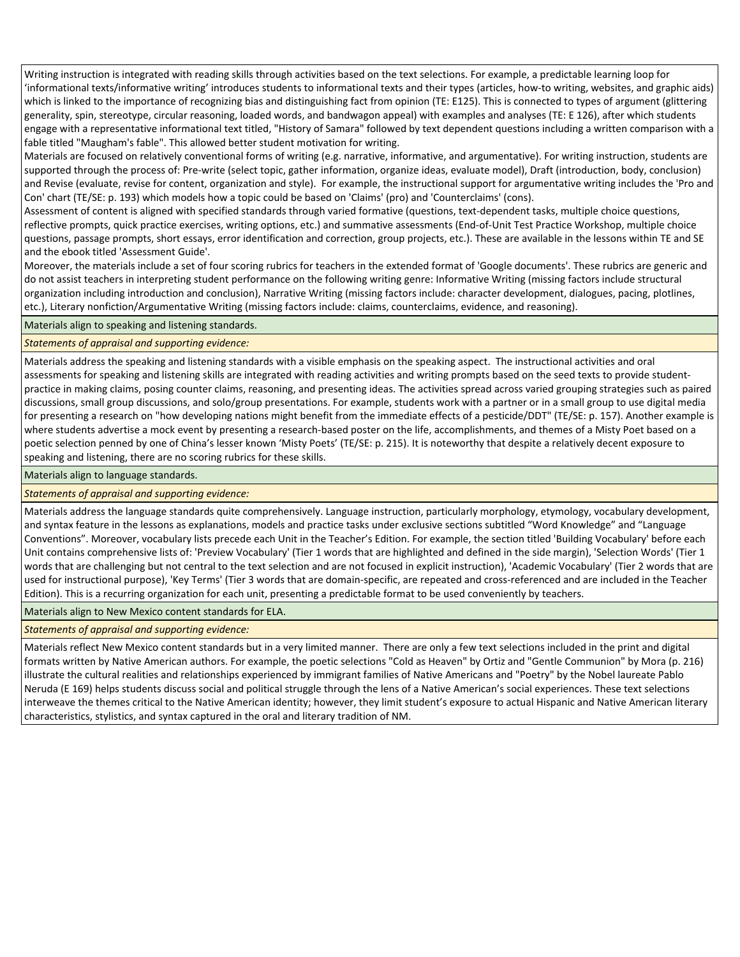Writing instruction is integrated with reading skills through activities based on the text selections. For example, a predictable learning loop for 'informational texts/informative writing' introduces students to informational texts and their types (articles, how-to writing, websites, and graphic aids) which is linked to the importance of recognizing bias and distinguishing fact from opinion (TE: E125). This is connected to types of argument (glittering generality, spin, stereotype, circular reasoning, loaded words, and bandwagon appeal) with examples and analyses (TE: E 126), after which students engage with a representative informational text titled, "History of Samara" followed by text dependent questions including a written comparison with a fable titled "Maugham's fable". This allowed better student motivation for writing.

Materials are focused on relatively conventional forms of writing (e.g. narrative, informative, and argumentative). For writing instruction, students are supported through the process of: Pre-write (select topic, gather information, organize ideas, evaluate model), Draft (introduction, body, conclusion) and Revise (evaluate, revise for content, organization and style). For example, the instructional support for argumentative writing includes the 'Pro and Con' chart (TE/SE: p. 193) which models how a topic could be based on 'Claims' (pro) and 'Counterclaims' (cons).

Assessment of content is aligned with specified standards through varied formative (questions, text-dependent tasks, multiple choice questions, reflective prompts, quick practice exercises, writing options, etc.) and summative assessments (End-of-Unit Test Practice Workshop, multiple choice questions, passage prompts, short essays, error identification and correction, group projects, etc.). These are available in the lessons within TE and SE and the ebook titled 'Assessment Guide'.

Moreover, the materials include a set of four scoring rubrics for teachers in the extended format of 'Google documents'. These rubrics are generic and do not assist teachers in interpreting student performance on the following writing genre: Informative Writing (missing factors include structural organization including introduction and conclusion), Narrative Writing (missing factors include: character development, dialogues, pacing, plotlines, etc.), Literary nonfiction/Argumentative Writing (missing factors include: claims, counterclaims, evidence, and reasoning).

### Materials align to speaking and listening standards.

## *Statements of appraisal and supporting evidence:*

Materials address the speaking and listening standards with a visible emphasis on the speaking aspect. The instructional activities and oral assessments for speaking and listening skills are integrated with reading activities and writing prompts based on the seed texts to provide studentpractice in making claims, posing counter claims, reasoning, and presenting ideas. The activities spread across varied grouping strategies such as paired discussions, small group discussions, and solo/group presentations. For example, students work with a partner or in a small group to use digital media for presenting a research on "how developing nations might benefit from the immediate effects of a pesticide/DDT" (TE/SE: p. 157). Another example is where students advertise a mock event by presenting a research-based poster on the life, accomplishments, and themes of a Misty Poet based on a poetic selection penned by one of China's lesser known 'Misty Poets' (TE/SE: p. 215). It is noteworthy that despite a relatively decent exposure to speaking and listening, there are no scoring rubrics for these skills.

Materials align to language standards.

### *Statements of appraisal and supporting evidence:*

Materials address the language standards quite comprehensively. Language instruction, particularly morphology, etymology, vocabulary development, and syntax feature in the lessons as explanations, models and practice tasks under exclusive sections subtitled "Word Knowledge" and "Language Conventions". Moreover, vocabulary lists precede each Unit in the Teacher's Edition. For example, the section titled 'Building Vocabulary' before each Unit contains comprehensive lists of: 'Preview Vocabulary' (Tier 1 words that are highlighted and defined in the side margin), 'Selection Words' (Tier 1 words that are challenging but not central to the text selection and are not focused in explicit instruction), 'Academic Vocabulary' (Tier 2 words that are used for instructional purpose), 'Key Terms' (Tier 3 words that are domain-specific, are repeated and cross-referenced and are included in the Teacher Edition). This is a recurring organization for each unit, presenting a predictable format to be used conveniently by teachers.

Materials align to New Mexico content standards for ELA.

### *Statements of appraisal and supporting evidence:*

Materials reflect New Mexico content standards but in a very limited manner. There are only a few text selections included in the print and digital formats written by Native American authors. For example, the poetic selections "Cold as Heaven" by Ortiz and "Gentle Communion" by Mora (p. 216) illustrate the cultural realities and relationships experienced by immigrant families of Native Americans and "Poetry" by the Nobel laureate Pablo Neruda (E 169) helps students discuss social and political struggle through the lens of a Native American's social experiences. These text selections interweave the themes critical to the Native American identity; however, they limit student's exposure to actual Hispanic and Native American literary characteristics, stylistics, and syntax captured in the oral and literary tradition of NM.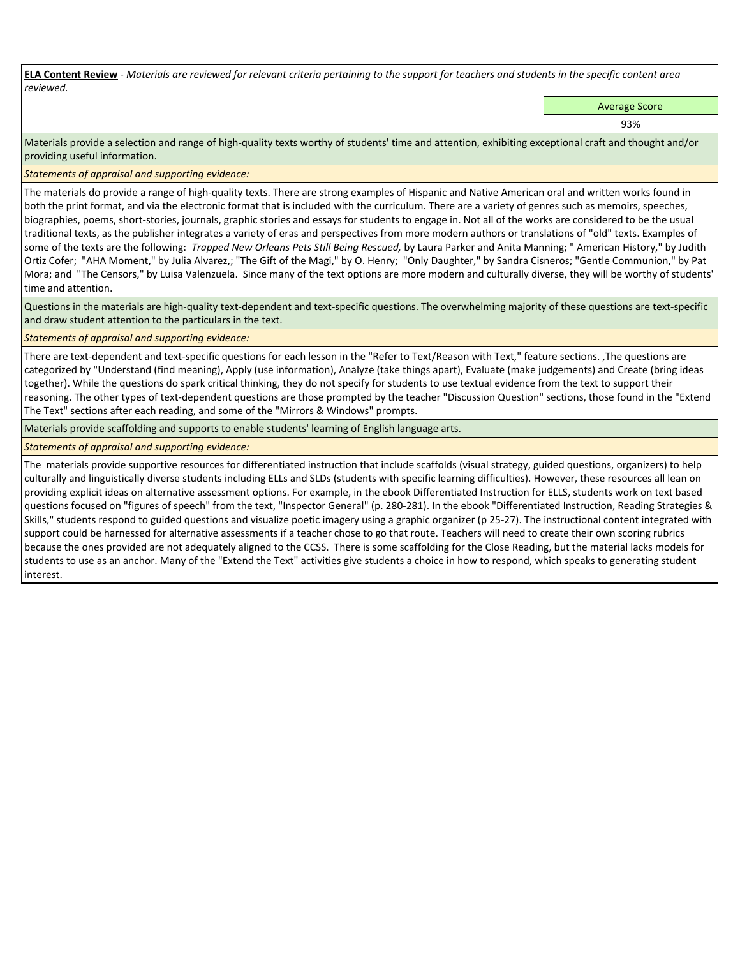**ELA Content Review** *- Materials are reviewed for relevant criteria pertaining to the support for teachers and students in the specific content area reviewed.*

Average Score

93%

Materials provide a selection and range of high-quality texts worthy of students' time and attention, exhibiting exceptional craft and thought and/or providing useful information.

*Statements of appraisal and supporting evidence:* 

The materials do provide a range of high-quality texts. There are strong examples of Hispanic and Native American oral and written works found in both the print format, and via the electronic format that is included with the curriculum. There are a variety of genres such as memoirs, speeches, biographies, poems, short-stories, journals, graphic stories and essays for students to engage in. Not all of the works are considered to be the usual traditional texts, as the publisher integrates a variety of eras and perspectives from more modern authors or translations of "old" texts. Examples of some of the texts are the following: *Trapped New Orleans Pets Still Being Rescued,* by Laura Parker and Anita Manning; " American History," by Judith Ortiz Cofer; "AHA Moment," by Julia Alvarez,; "The Gift of the Magi," by O. Henry; "Only Daughter," by Sandra Cisneros; "Gentle Communion," by Pat Mora; and "The Censors," by Luisa Valenzuela. Since many of the text options are more modern and culturally diverse, they will be worthy of students' time and attention.

Questions in the materials are high-quality text-dependent and text-specific questions. The overwhelming majority of these questions are text-specific and draw student attention to the particulars in the text.

*Statements of appraisal and supporting evidence:* 

There are text-dependent and text-specific questions for each lesson in the "Refer to Text/Reason with Text," feature sections. ,The questions are categorized by "Understand (find meaning), Apply (use information), Analyze (take things apart), Evaluate (make judgements) and Create (bring ideas together). While the questions do spark critical thinking, they do not specify for students to use textual evidence from the text to support their reasoning. The other types of text-dependent questions are those prompted by the teacher "Discussion Question" sections, those found in the "Extend The Text" sections after each reading, and some of the "Mirrors & Windows" prompts.

Materials provide scaffolding and supports to enable students' learning of English language arts.

*Statements of appraisal and supporting evidence:* 

The materials provide supportive resources for differentiated instruction that include scaffolds (visual strategy, guided questions, organizers) to help culturally and linguistically diverse students including ELLs and SLDs (students with specific learning difficulties). However, these resources all lean on providing explicit ideas on alternative assessment options. For example, in the ebook Differentiated Instruction for ELLS, students work on text based questions focused on "figures of speech" from the text, "Inspector General" (p. 280-281). In the ebook "Differentiated Instruction, Reading Strategies & Skills," students respond to guided questions and visualize poetic imagery using a graphic organizer (p 25-27). The instructional content integrated with support could be harnessed for alternative assessments if a teacher chose to go that route. Teachers will need to create their own scoring rubrics because the ones provided are not adequately aligned to the CCSS. There is some scaffolding for the Close Reading, but the material lacks models for students to use as an anchor. Many of the "Extend the Text" activities give students a choice in how to respond, which speaks to generating student interest.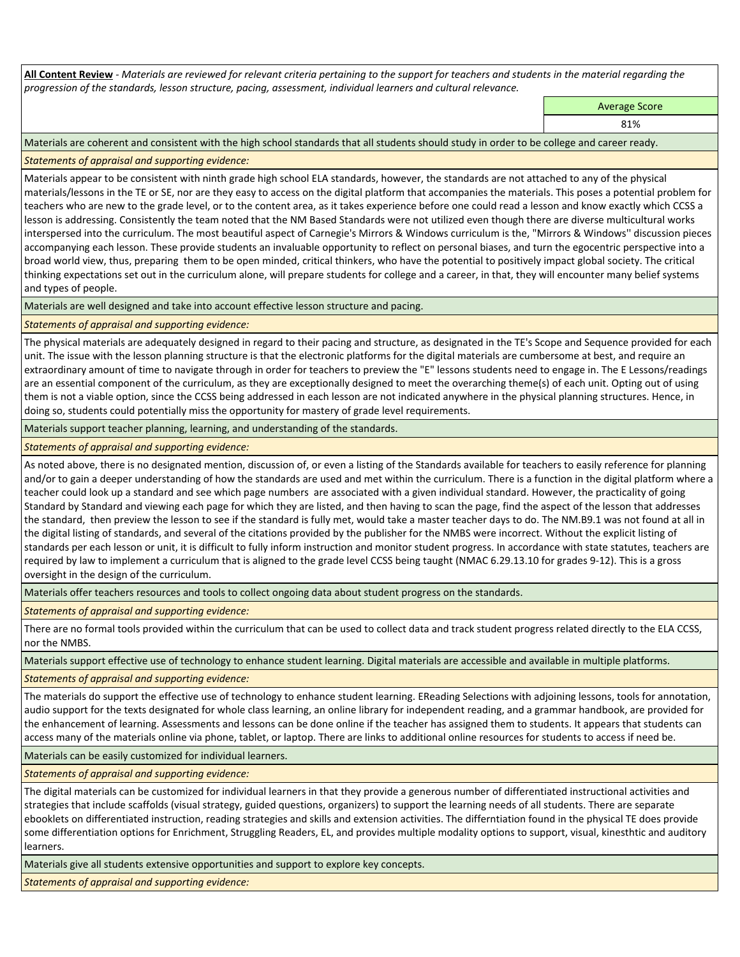**All Content Review** *- Materials are reviewed for relevant criteria pertaining to the support for teachers and students in the material regarding the progression of the standards, lesson structure, pacing, assessment, individual learners and cultural relevance.*

Average Score

81%

Materials are coherent and consistent with the high school standards that all students should study in order to be college and career ready.

## *Statements of appraisal and supporting evidence:*

Materials appear to be consistent with ninth grade high school ELA standards, however, the standards are not attached to any of the physical materials/lessons in the TE or SE, nor are they easy to access on the digital platform that accompanies the materials. This poses a potential problem for teachers who are new to the grade level, or to the content area, as it takes experience before one could read a lesson and know exactly which CCSS a lesson is addressing. Consistently the team noted that the NM Based Standards were not utilized even though there are diverse multicultural works interspersed into the curriculum. The most beautiful aspect of Carnegie's Mirrors & Windows curriculum is the, "Mirrors & Windows'' discussion pieces accompanying each lesson. These provide students an invaluable opportunity to reflect on personal biases, and turn the egocentric perspective into a broad world view, thus, preparing them to be open minded, critical thinkers, who have the potential to positively impact global society. The critical thinking expectations set out in the curriculum alone, will prepare students for college and a career, in that, they will encounter many belief systems and types of people.

Materials are well designed and take into account effective lesson structure and pacing.

### *Statements of appraisal and supporting evidence:*

The physical materials are adequately designed in regard to their pacing and structure, as designated in the TE's Scope and Sequence provided for each unit. The issue with the lesson planning structure is that the electronic platforms for the digital materials are cumbersome at best, and require an extraordinary amount of time to navigate through in order for teachers to preview the "E" lessons students need to engage in. The E Lessons/readings are an essential component of the curriculum, as they are exceptionally designed to meet the overarching theme(s) of each unit. Opting out of using them is not a viable option, since the CCSS being addressed in each lesson are not indicated anywhere in the physical planning structures. Hence, in doing so, students could potentially miss the opportunity for mastery of grade level requirements.

Materials support teacher planning, learning, and understanding of the standards.

### *Statements of appraisal and supporting evidence:*

As noted above, there is no designated mention, discussion of, or even a listing of the Standards available for teachers to easily reference for planning and/or to gain a deeper understanding of how the standards are used and met within the curriculum. There is a function in the digital platform where a teacher could look up a standard and see which page numbers are associated with a given individual standard. However, the practicality of going Standard by Standard and viewing each page for which they are listed, and then having to scan the page, find the aspect of the lesson that addresses the standard, then preview the lesson to see if the standard is fully met, would take a master teacher days to do. The NM.B9.1 was not found at all in the digital listing of standards, and several of the citations provided by the publisher for the NMBS were incorrect. Without the explicit listing of standards per each lesson or unit, it is difficult to fully inform instruction and monitor student progress. In accordance with state statutes, teachers are required by law to implement a curriculum that is aligned to the grade level CCSS being taught (NMAC 6.29.13.10 for grades 9-12). This is a gross oversight in the design of the curriculum.

Materials offer teachers resources and tools to collect ongoing data about student progress on the standards.

*Statements of appraisal and supporting evidence:*

There are no formal tools provided within the curriculum that can be used to collect data and track student progress related directly to the ELA CCSS, nor the NMBS.

Materials support effective use of technology to enhance student learning. Digital materials are accessible and available in multiple platforms.

### *Statements of appraisal and supporting evidence:*

The materials do support the effective use of technology to enhance student learning. EReading Selections with adjoining lessons, tools for annotation, audio support for the texts designated for whole class learning, an online library for independent reading, and a grammar handbook, are provided for the enhancement of learning. Assessments and lessons can be done online if the teacher has assigned them to students. It appears that students can access many of the materials online via phone, tablet, or laptop. There are links to additional online resources for students to access if need be.

Materials can be easily customized for individual learners.

*Statements of appraisal and supporting evidence:* 

The digital materials can be customized for individual learners in that they provide a generous number of differentiated instructional activities and strategies that include scaffolds (visual strategy, guided questions, organizers) to support the learning needs of all students. There are separate ebooklets on differentiated instruction, reading strategies and skills and extension activities. The differntiation found in the physical TE does provide some differentiation options for Enrichment, Struggling Readers, EL, and provides multiple modality options to support, visual, kinesthtic and auditory learners.

Materials give all students extensive opportunities and support to explore key concepts.

*Statements of appraisal and supporting evidence:*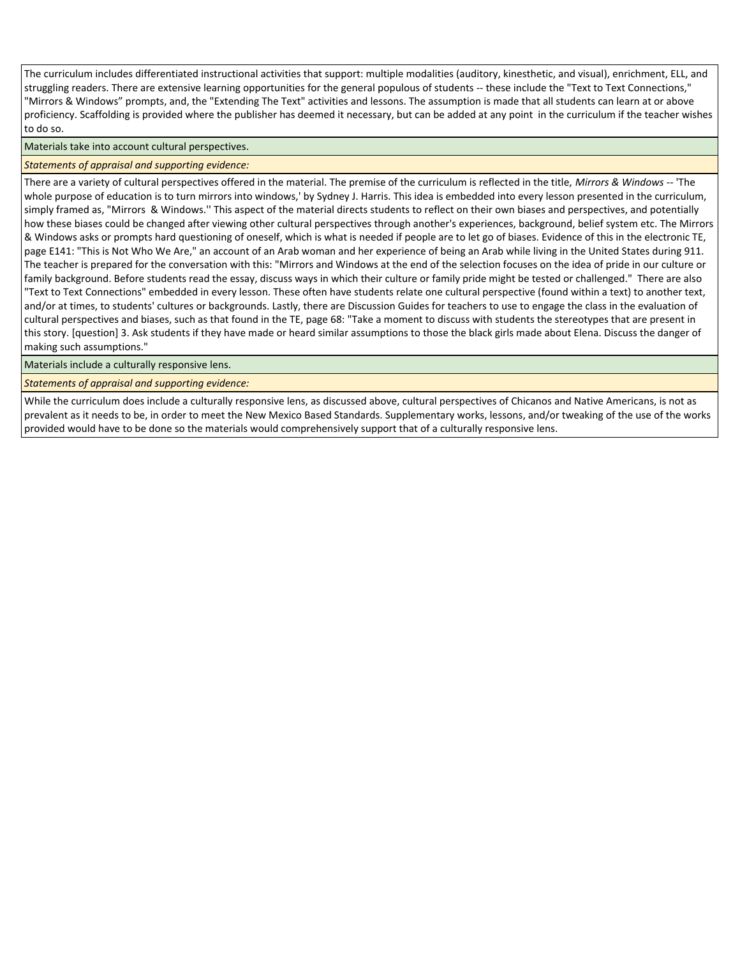The curriculum includes differentiated instructional activities that support: multiple modalities (auditory, kinesthetic, and visual), enrichment, ELL, and struggling readers. There are extensive learning opportunities for the general populous of students -- these include the "Text to Text Connections," "Mirrors & Windows" prompts, and, the "Extending The Text" activities and lessons. The assumption is made that all students can learn at or above proficiency. Scaffolding is provided where the publisher has deemed it necessary, but can be added at any point in the curriculum if the teacher wishes to do so.

Materials take into account cultural perspectives.

*Statements of appraisal and supporting evidence:*

There are a variety of cultural perspectives offered in the material. The premise of the curriculum is reflected in the title, *Mirrors & Windows* -- 'The whole purpose of education is to turn mirrors into windows,' by Sydney J. Harris. This idea is embedded into every lesson presented in the curriculum, simply framed as, "Mirrors & Windows.'' This aspect of the material directs students to reflect on their own biases and perspectives, and potentially how these biases could be changed after viewing other cultural perspectives through another's experiences, background, belief system etc. The Mirrors & Windows asks or prompts hard questioning of oneself, which is what is needed if people are to let go of biases. Evidence of this in the electronic TE, page E141: "This is Not Who We Are," an account of an Arab woman and her experience of being an Arab while living in the United States during 911. The teacher is prepared for the conversation with this: "Mirrors and Windows at the end of the selection focuses on the idea of pride in our culture or family background. Before students read the essay, discuss ways in which their culture or family pride might be tested or challenged." There are also "Text to Text Connections" embedded in every lesson. These often have students relate one cultural perspective (found within a text) to another text, and/or at times, to students' cultures or backgrounds. Lastly, there are Discussion Guides for teachers to use to engage the class in the evaluation of cultural perspectives and biases, such as that found in the TE, page 68: "Take a moment to discuss with students the stereotypes that are present in this story. [question] 3. Ask students if they have made or heard similar assumptions to those the black girls made about Elena. Discuss the danger of making such assumptions."

Materials include a culturally responsive lens.

*Statements of appraisal and supporting evidence:*

While the curriculum does include a culturally responsive lens, as discussed above, cultural perspectives of Chicanos and Native Americans, is not as prevalent as it needs to be, in order to meet the New Mexico Based Standards. Supplementary works, lessons, and/or tweaking of the use of the works provided would have to be done so the materials would comprehensively support that of a culturally responsive lens.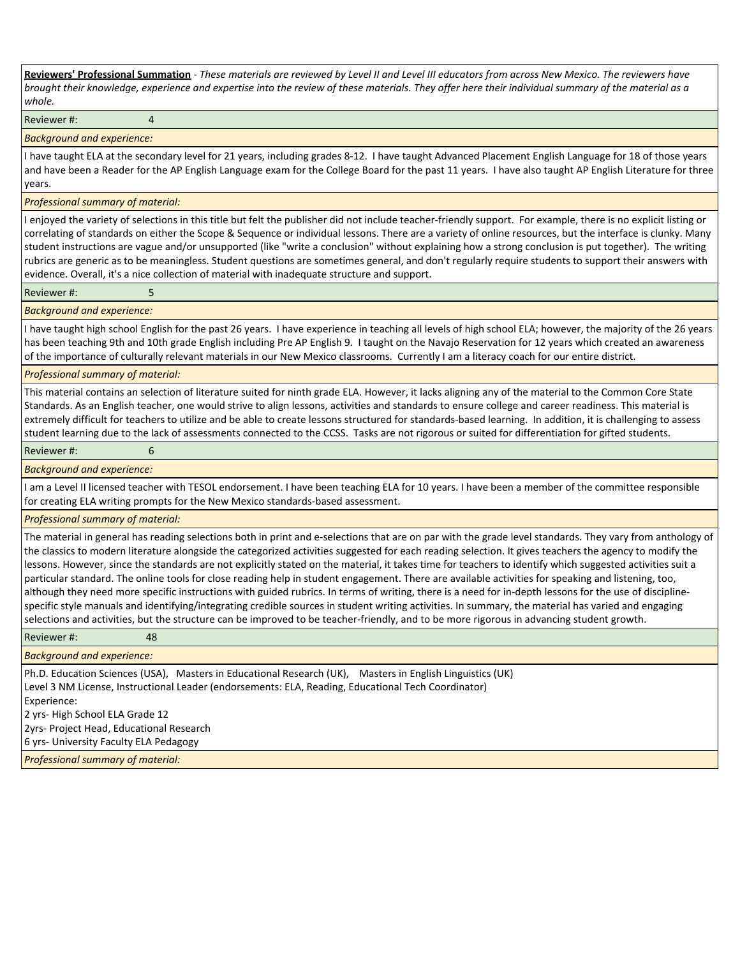**Reviewers' Professional Summation** *- These materials are reviewed by Level II and Level III educators from across New Mexico. The reviewers have brought their knowledge, experience and expertise into the review of these materials. They offer here their individual summary of the material as a whole.*

#### Reviewer #: 4

#### *Background and experience:*

I have taught ELA at the secondary level for 21 years, including grades 8-12. I have taught Advanced Placement English Language for 18 of those years and have been a Reader for the AP English Language exam for the College Board for the past 11 years. I have also taught AP English Literature for three years.

#### *Professional summary of material:*

I enjoyed the variety of selections in this title but felt the publisher did not include teacher-friendly support. For example, there is no explicit listing or correlating of standards on either the Scope & Sequence or individual lessons. There are a variety of online resources, but the interface is clunky. Many student instructions are vague and/or unsupported (like "write a conclusion" without explaining how a strong conclusion is put together). The writing rubrics are generic as to be meaningless. Student questions are sometimes general, and don't regularly require students to support their answers with evidence. Overall, it's a nice collection of material with inadequate structure and support.

#### Reviewer #: 5

### *Background and experience:*

I have taught high school English for the past 26 years. I have experience in teaching all levels of high school ELA; however, the majority of the 26 years has been teaching 9th and 10th grade English including Pre AP English 9. I taught on the Navajo Reservation for 12 years which created an awareness of the importance of culturally relevant materials in our New Mexico classrooms. Currently I am a literacy coach for our entire district.

#### *Professional summary of material:*

This material contains an selection of literature suited for ninth grade ELA. However, it lacks aligning any of the material to the Common Core State Standards. As an English teacher, one would strive to align lessons, activities and standards to ensure college and career readiness. This material is extremely difficult for teachers to utilize and be able to create lessons structured for standards-based learning. In addition, it is challenging to assess student learning due to the lack of assessments connected to the CCSS. Tasks are not rigorous or suited for differentiation for gifted students.

#### Reviewer #: 6

#### *Background and experience:*

I am a Level II licensed teacher with TESOL endorsement. I have been teaching ELA for 10 years. I have been a member of the committee responsible for creating ELA writing prompts for the New Mexico standards-based assessment.

### *Professional summary of material:*

The material in general has reading selections both in print and e-selections that are on par with the grade level standards. They vary from anthology of the classics to modern literature alongside the categorized activities suggested for each reading selection. It gives teachers the agency to modify the lessons. However, since the standards are not explicitly stated on the material, it takes time for teachers to identify which suggested activities suit a particular standard. The online tools for close reading help in student engagement. There are available activities for speaking and listening, too, although they need more specific instructions with guided rubrics. In terms of writing, there is a need for in-depth lessons for the use of disciplinespecific style manuals and identifying/integrating credible sources in student writing activities. In summary, the material has varied and engaging selections and activities, but the structure can be improved to be teacher-friendly, and to be more rigorous in advancing student growth.

#### Reviewer #: 48

#### *Background and experience:*

Ph.D. Education Sciences (USA), Masters in Educational Research (UK), Masters in English Linguistics (UK) Level 3 NM License, Instructional Leader (endorsements: ELA, Reading, Educational Tech Coordinator) Experience:

2 yrs- High School ELA Grade 12

2yrs- Project Head, Educational Research

6 yrs- University Faculty ELA Pedagogy

*Professional summary of material:*